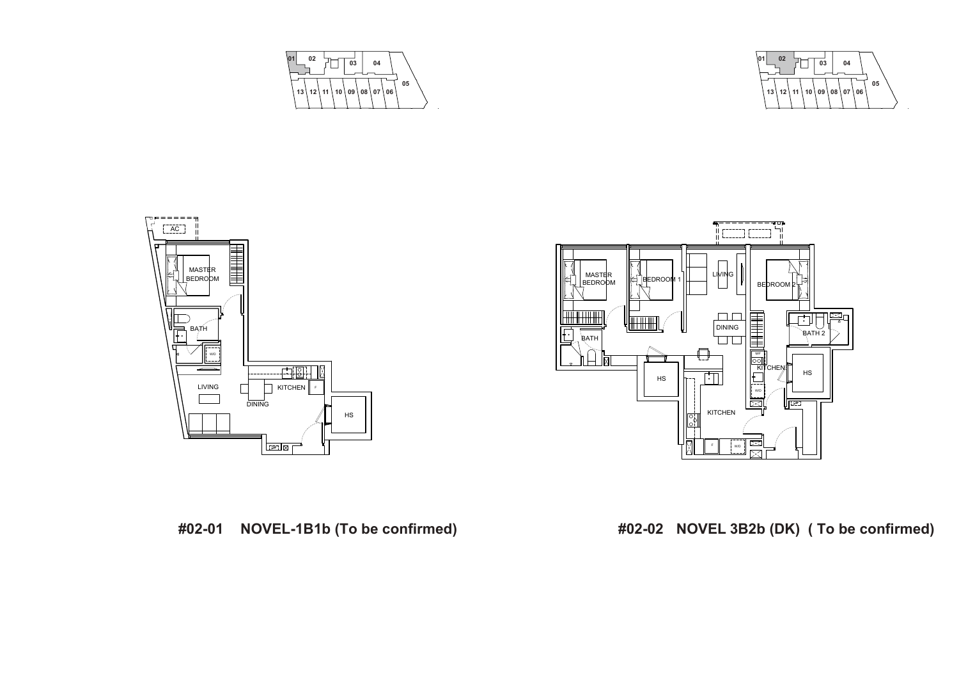





**<sup>01</sup> <sup>02</sup> <sup>03</sup> <sup>04</sup> 05 13 12 11 10 09 08 07 06**

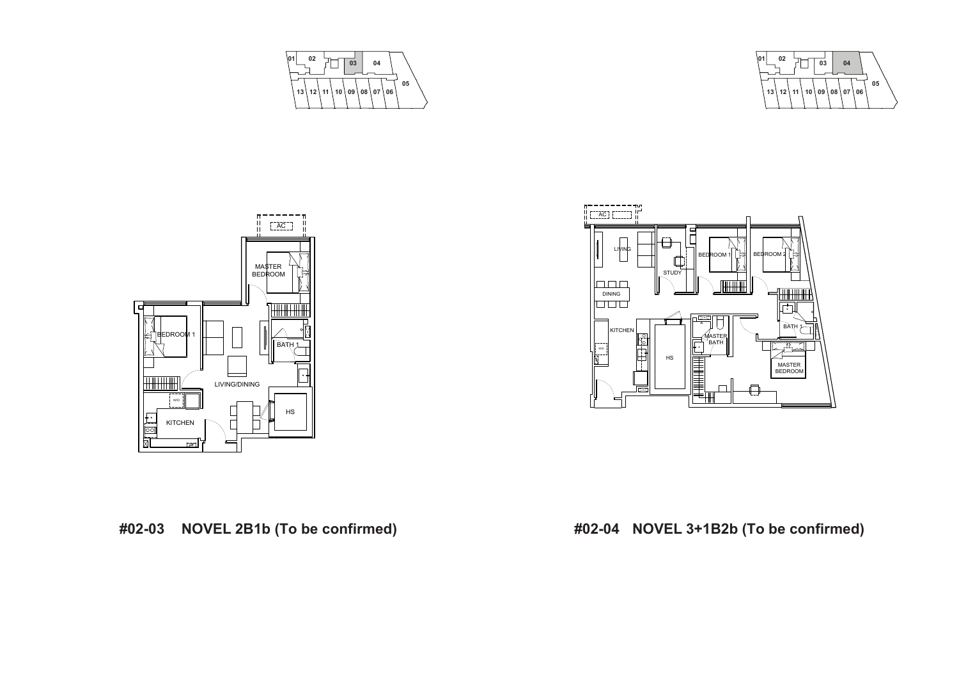







**#02-03 NOVEL 2B1b (To be confirmed) #02-04 NOVEL 3+1B2b (To be confirmed)**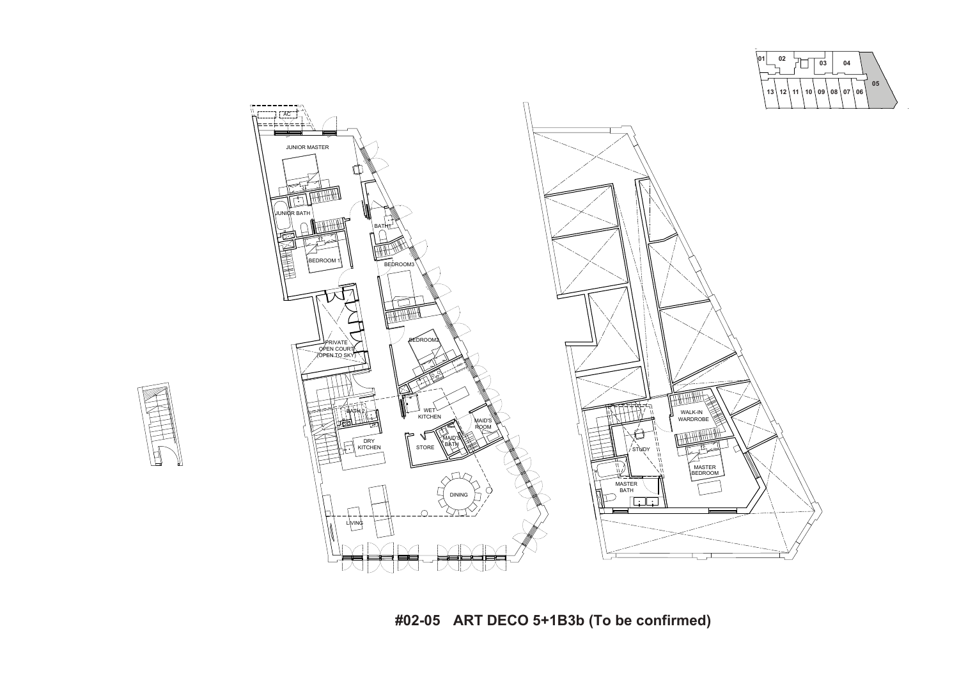



**#02-05 ART DECO 5+1B3b (To be confirmed)**

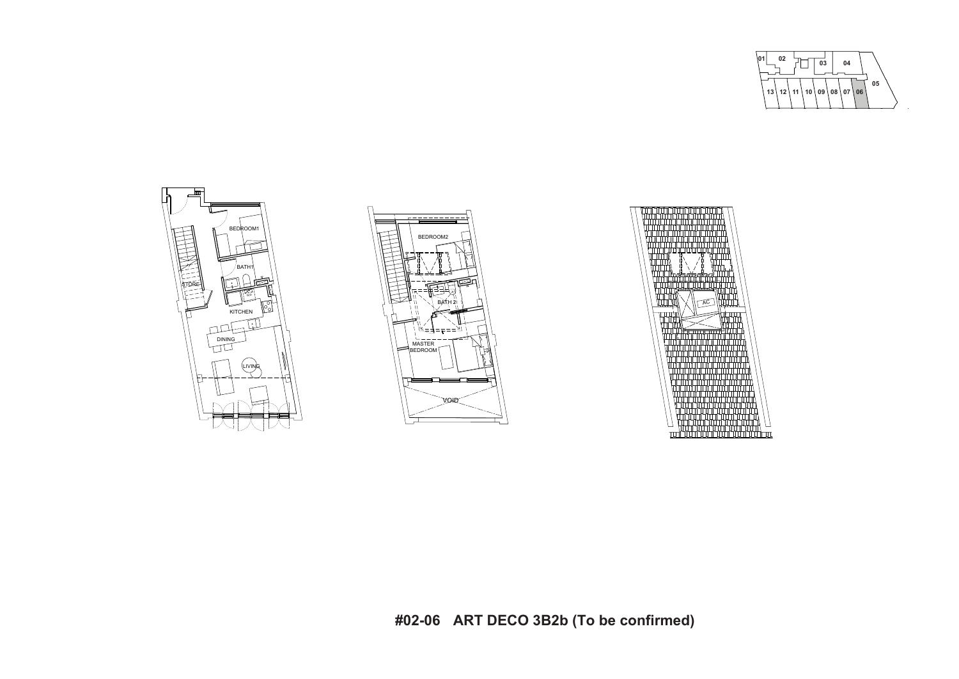







**#02-06 ART DECO 3B2b (To be confirmed)**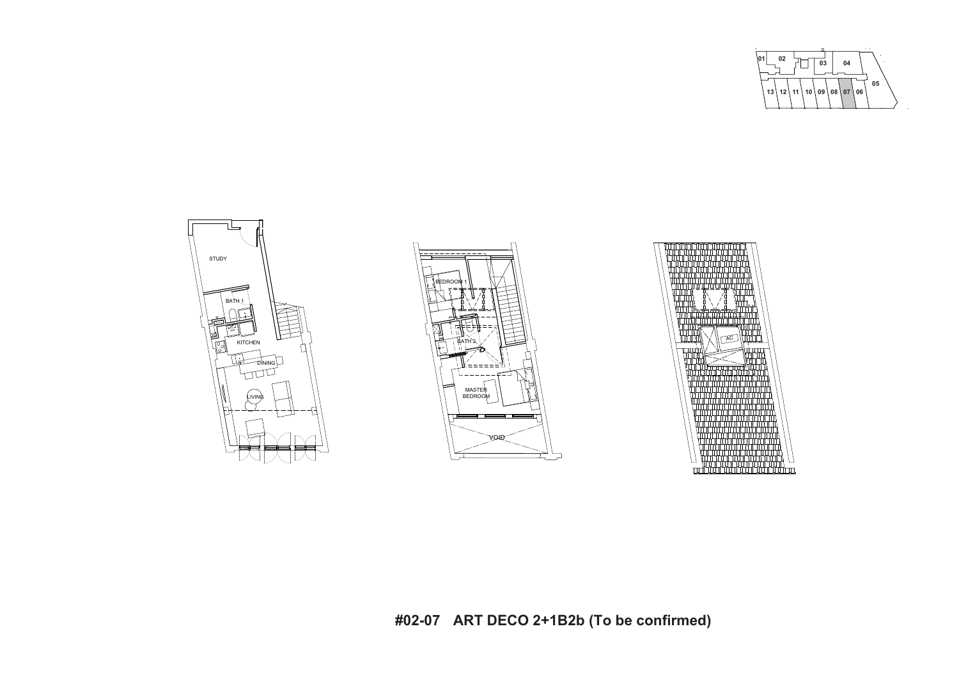







# **#02-07 ART DECO 2+1B2b (To be confirmed)**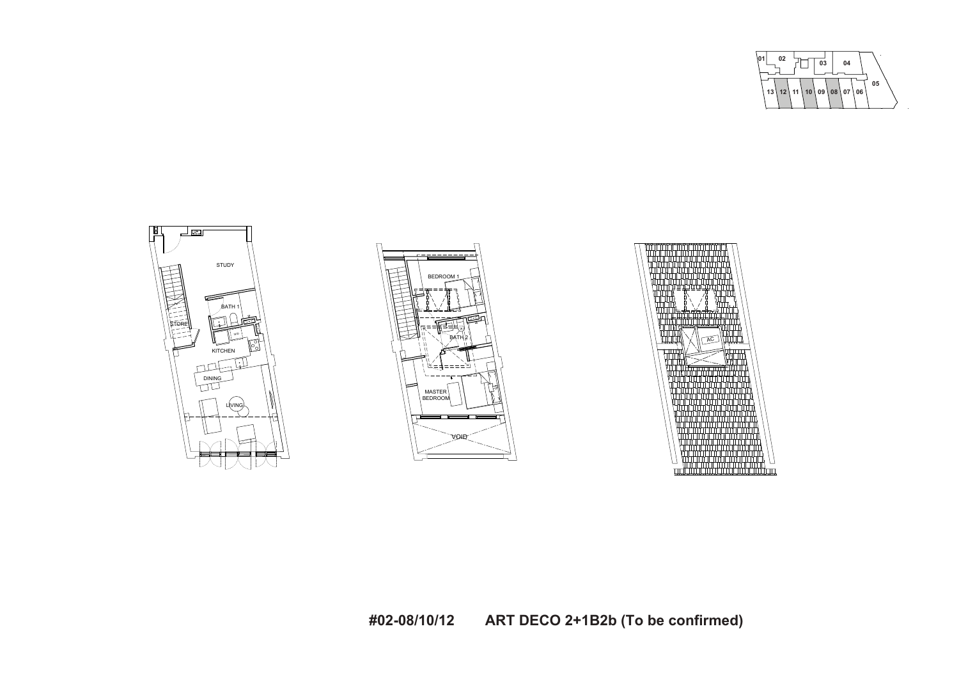**<sup>01</sup> <sup>02</sup> <sup>03</sup> <sup>04</sup> 05 13 12 11 10 09 08 07 06**





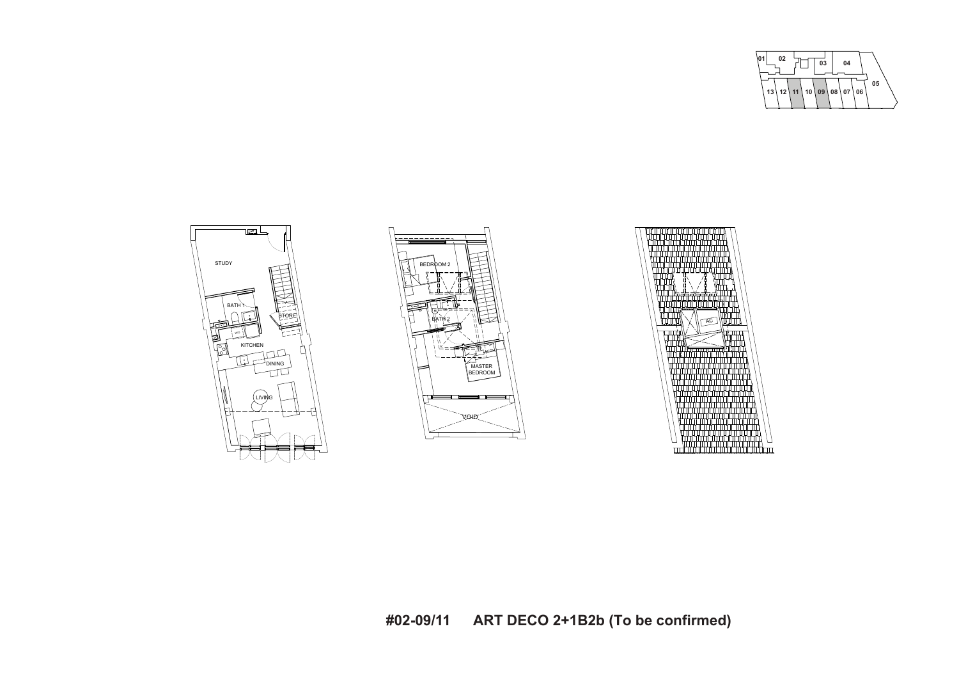**<sup>01</sup> <sup>02</sup> <sup>03</sup> <sup>04</sup> 05 13 12 11 10 09 08 07 06**





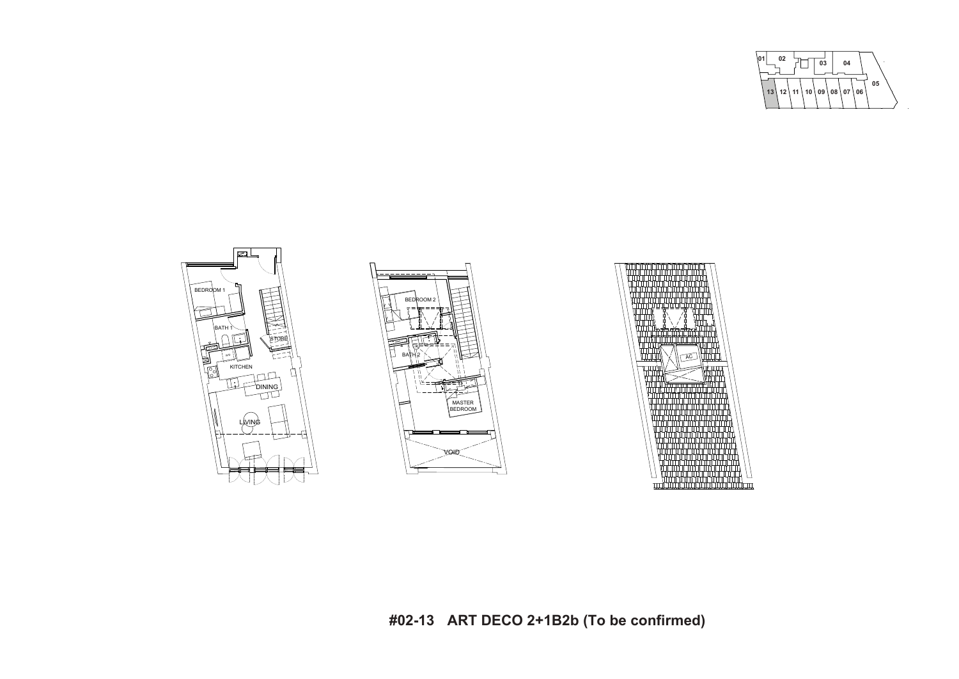





**#02-13 ART DECO 2+1B2b (To be confirmed)**



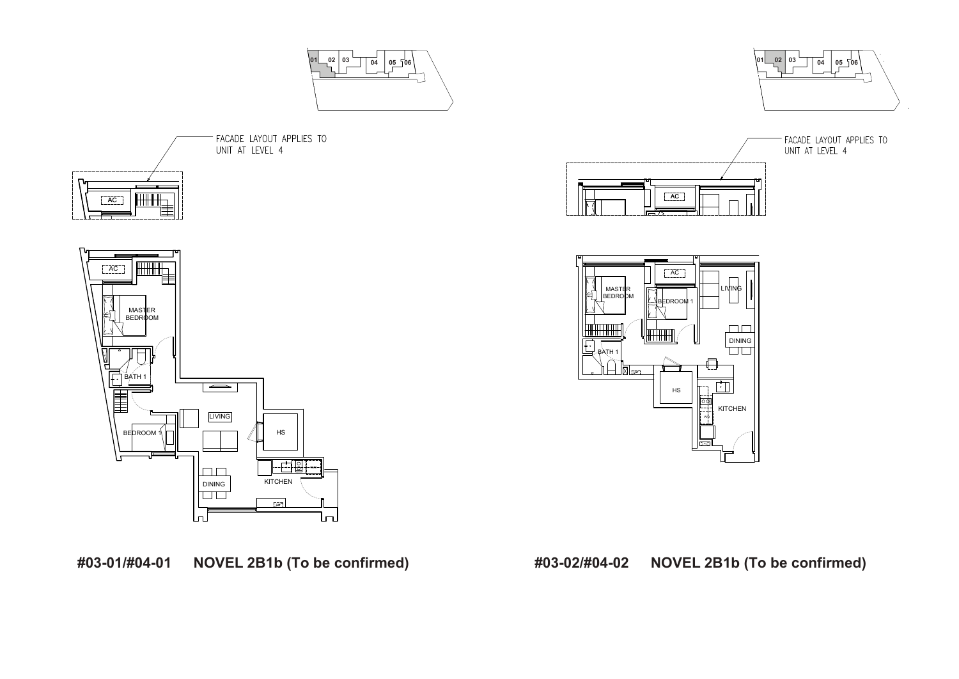







**#03-01/#04-01 NOVEL 2B1b (To be confirmed) #03-02/#04-02 NOVEL 2B1b (To be confirmed)**



FACADE LAYOUT APPLIES TO<br>UNIT AT LEVEL 4



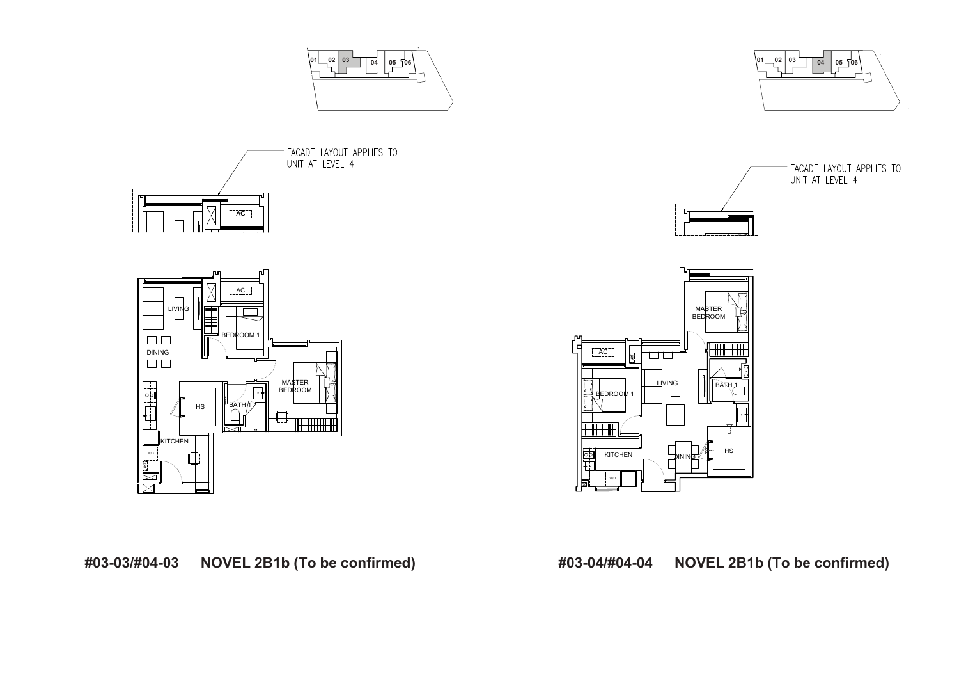





**#03-03/#04-03 NOVEL 2B1b (To be confirmed) #03-04/#04-04 NOVEL 2B1b (To be confirmed)**



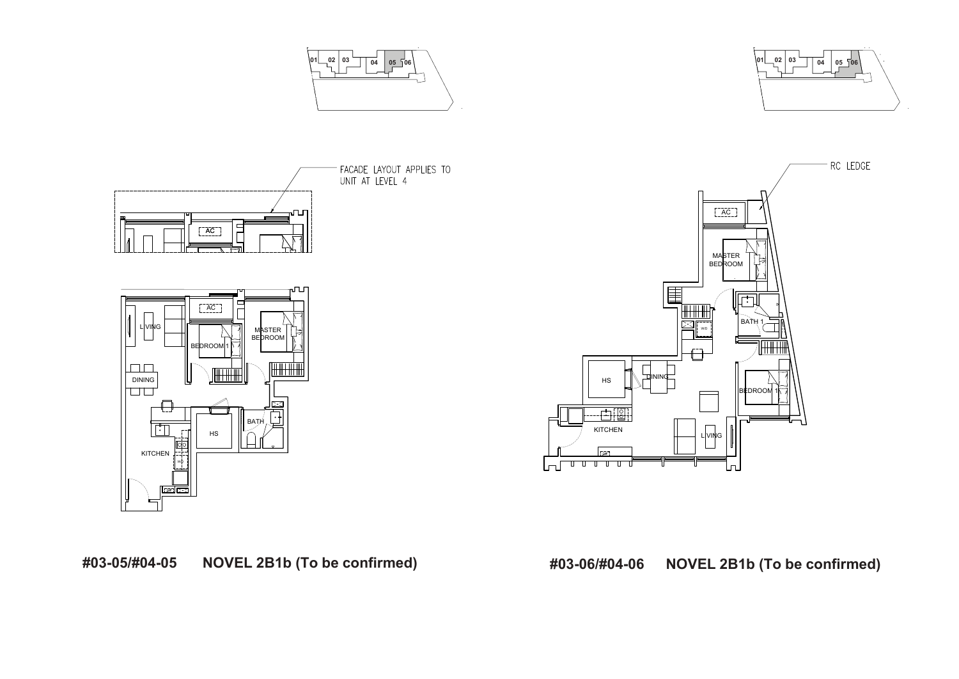





**#03-05/#04-05 NOVEL 2B1b (To be confirmed) #03-06/#04-06 NOVEL 2B1b (To be confirmed)**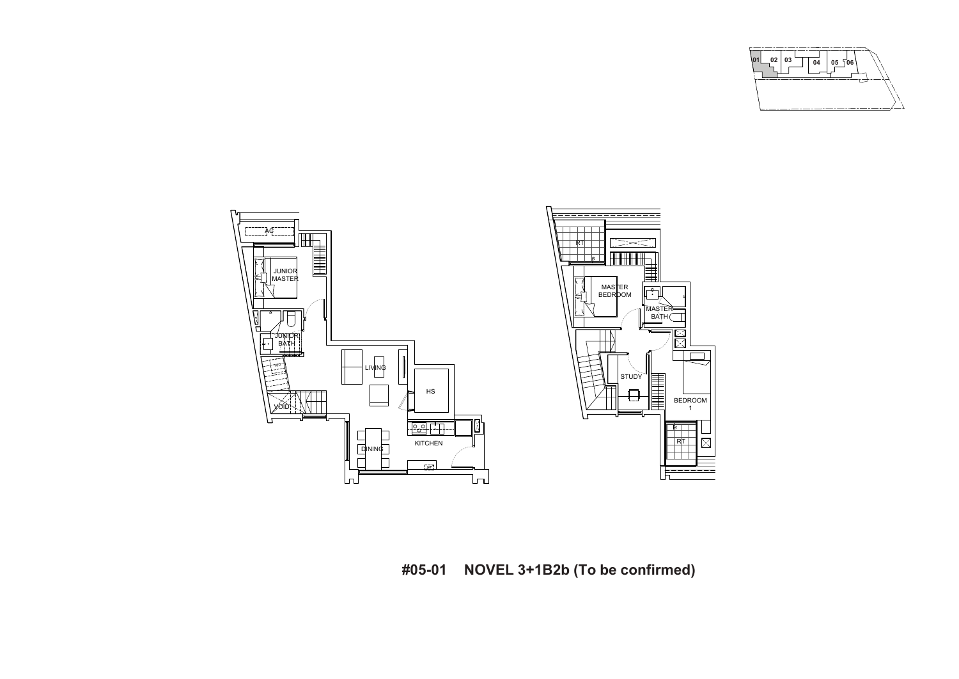

**#05-01 NOVEL 3+1B2b (To be confirmed)**

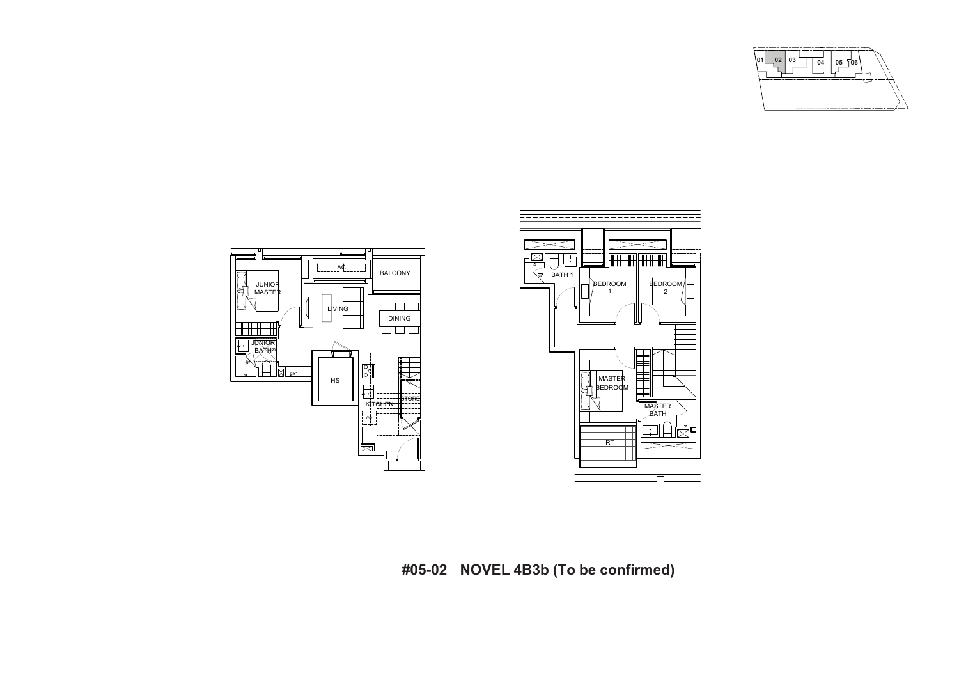



**#05-02 NOVEL 4B3b (To be confirmed)**

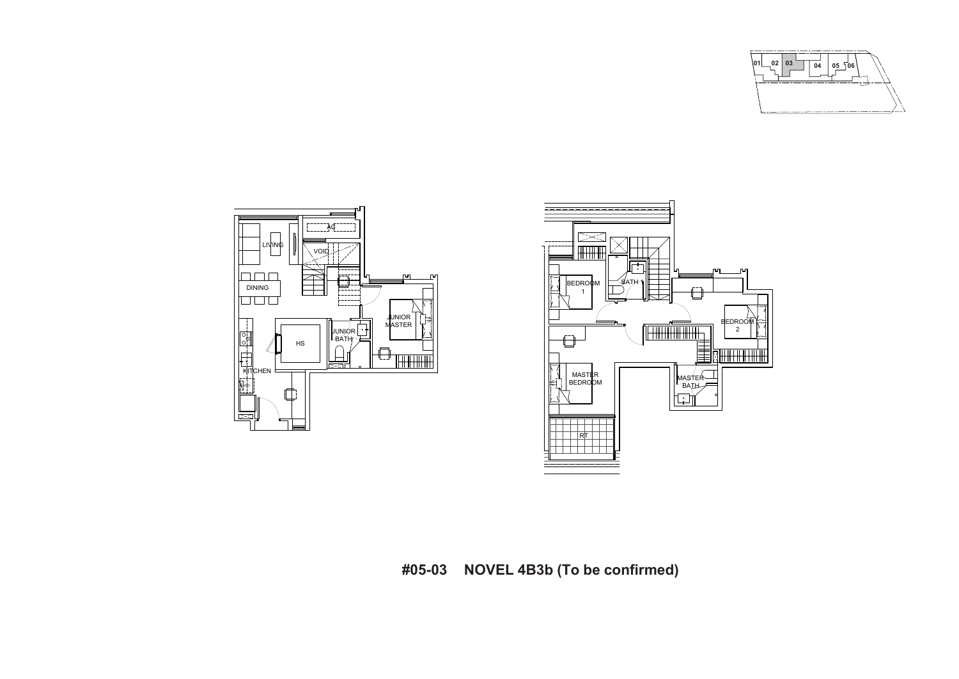



**#05-03 NOVEL 4B3b (To be confirmed)**

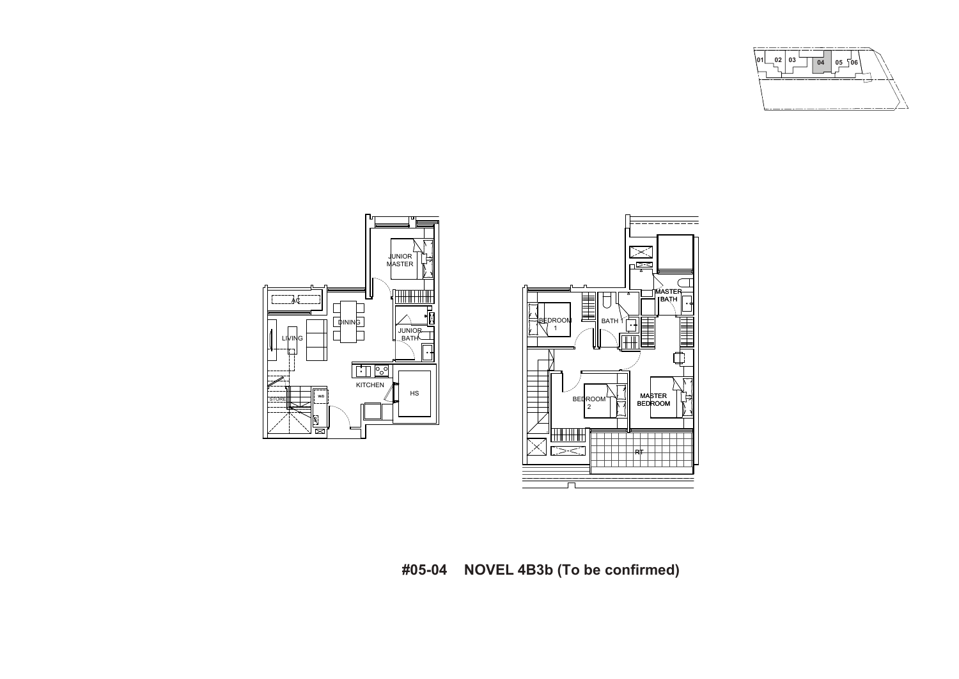



**#05-04 NOVEL 4B3b (To be confirmed)**

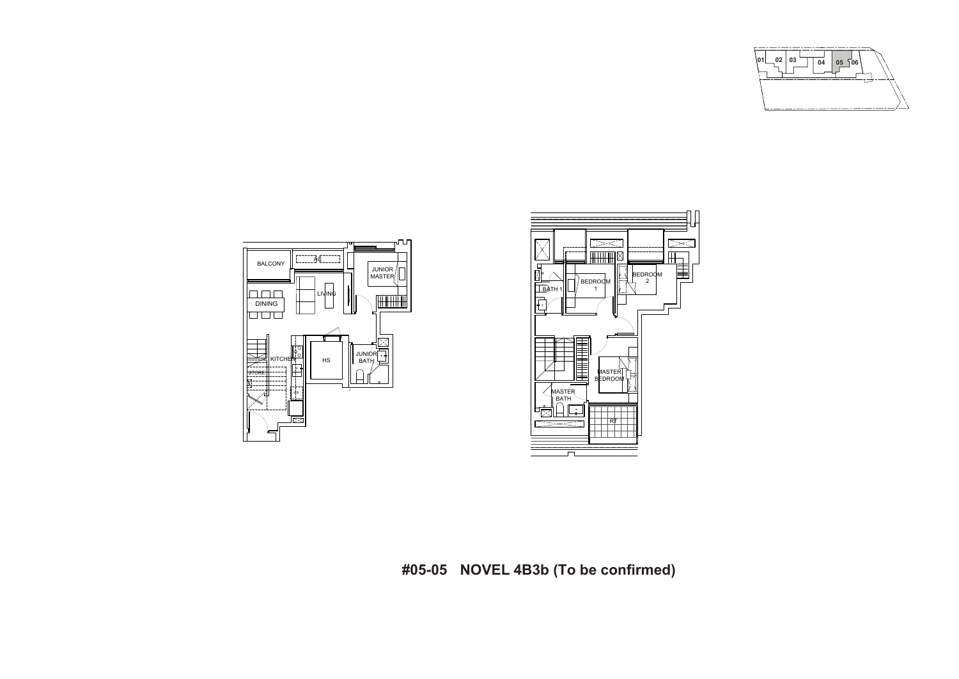



**#05-05 NOVEL 4B3b (To be confirmed)**